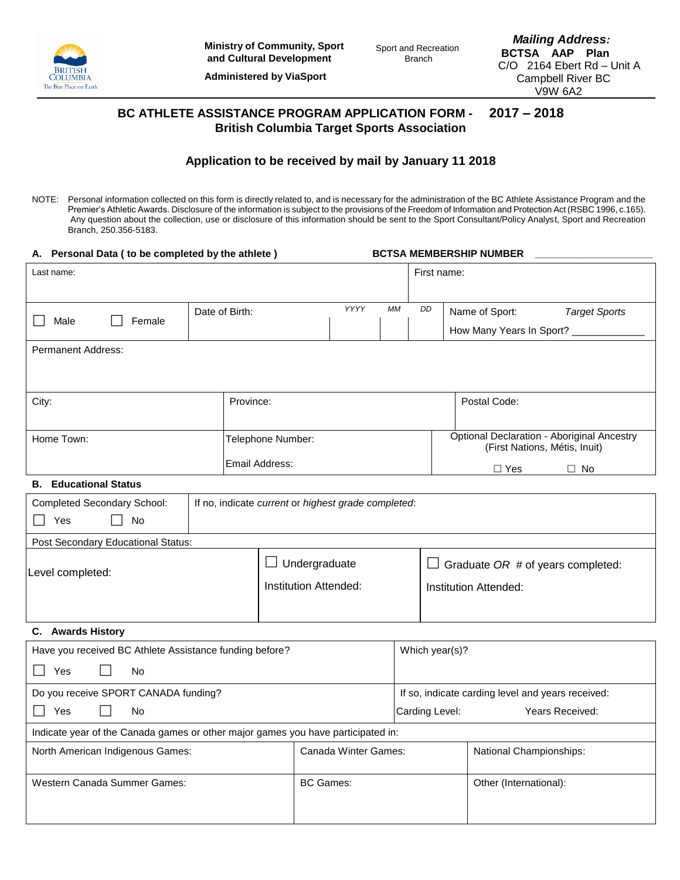

**Administered by ViaSport**

*Mailing Address:*  **BCTSA AAP Plan** C/O 2164 Ebert Rd – Unit A Campbell River BC V9W 6A2

# **BC ATHLETE ASSISTANCE PROGRAM APPLICATION FORM - 2017 – 2018 British Columbia Target Sports Association**

## **Application to be received by mail by January 11 2018**

NOTE: Personal information collected on this form is directly related to, and is necessary for the administration of the BC Athlete Assistance Program and the Premier's Athletic Awards. Disclosure of the information is subject to the provisions of the Freedom of Information and Protection Act (RSBC 1996, c.165). Any question about the collection, use or disclosure of this information should be sent to the Sport Consultant/Policy Analyst, Sport and Recreation Branch, 250.356-5183.

| A. Personal Data ( to be completed by the athlete )                                       |                |                                   |                                                                                    |                | <b>BCTSA MEMBERSHIP NUMBER</b>         |                                      |  |  |  |
|-------------------------------------------------------------------------------------------|----------------|-----------------------------------|------------------------------------------------------------------------------------|----------------|----------------------------------------|--------------------------------------|--|--|--|
| Last name:                                                                                |                |                                   |                                                                                    | First name:    |                                        |                                      |  |  |  |
|                                                                                           |                |                                   |                                                                                    |                |                                        |                                      |  |  |  |
| Male<br>Female                                                                            | Date of Birth: | YYYY                              | МM                                                                                 | DD             | Name of Sport:<br><b>Target Sports</b> |                                      |  |  |  |
|                                                                                           |                |                                   |                                                                                    |                |                                        | How Many Years In Sport? ___________ |  |  |  |
| <b>Permanent Address:</b>                                                                 |                |                                   |                                                                                    |                |                                        |                                      |  |  |  |
|                                                                                           |                |                                   |                                                                                    |                |                                        |                                      |  |  |  |
| City:                                                                                     | Province:      |                                   |                                                                                    |                | Postal Code:                           |                                      |  |  |  |
|                                                                                           |                |                                   |                                                                                    |                |                                        |                                      |  |  |  |
| Home Town:<br>Telephone Number:                                                           |                |                                   | <b>Optional Declaration - Aboriginal Ancestry</b><br>(First Nations, Métis, Inuit) |                |                                        |                                      |  |  |  |
| Email Address:                                                                            |                |                                   |                                                                                    |                |                                        |                                      |  |  |  |
| <b>B.</b> Educational Status                                                              |                |                                   |                                                                                    |                |                                        | $\Box$ Yes<br>$\Box$ No              |  |  |  |
| <b>Completed Secondary School:</b><br>If no, indicate current or highest grade completed: |                |                                   |                                                                                    |                |                                        |                                      |  |  |  |
| $\perp$<br>No<br>Yes                                                                      |                |                                   |                                                                                    |                |                                        |                                      |  |  |  |
| Post Secondary Educational Status:                                                        |                |                                   |                                                                                    |                |                                        |                                      |  |  |  |
|                                                                                           |                | ப                                 | Undergraduate                                                                      |                |                                        | Graduate OR # of years completed:    |  |  |  |
| Level completed:                                                                          |                |                                   | Institution Attended:                                                              |                |                                        | Institution Attended:                |  |  |  |
|                                                                                           |                |                                   |                                                                                    |                |                                        |                                      |  |  |  |
|                                                                                           |                |                                   |                                                                                    |                |                                        |                                      |  |  |  |
| C. Awards History<br>Have you received BC Athlete Assistance funding before?              |                |                                   |                                                                                    |                |                                        |                                      |  |  |  |
|                                                                                           |                |                                   |                                                                                    | Which year(s)? |                                        |                                      |  |  |  |
| $\blacksquare$<br>Yes<br>No.                                                              |                |                                   |                                                                                    |                |                                        |                                      |  |  |  |
| Do you receive SPORT CANADA funding?                                                      |                |                                   | If so, indicate carding level and years received:                                  |                |                                        |                                      |  |  |  |
| Yes<br>No                                                                                 |                | Carding Level:<br>Years Received: |                                                                                    |                |                                        |                                      |  |  |  |
| Indicate year of the Canada games or other major games you have participated in:          |                |                                   |                                                                                    |                |                                        |                                      |  |  |  |
| North American Indigenous Games:                                                          |                | Canada Winter Games:              |                                                                                    |                | National Championships:                |                                      |  |  |  |
| Western Canada Summer Games:                                                              |                |                                   | <b>BC</b> Games:                                                                   |                |                                        | Other (International):               |  |  |  |
|                                                                                           |                |                                   |                                                                                    |                |                                        |                                      |  |  |  |